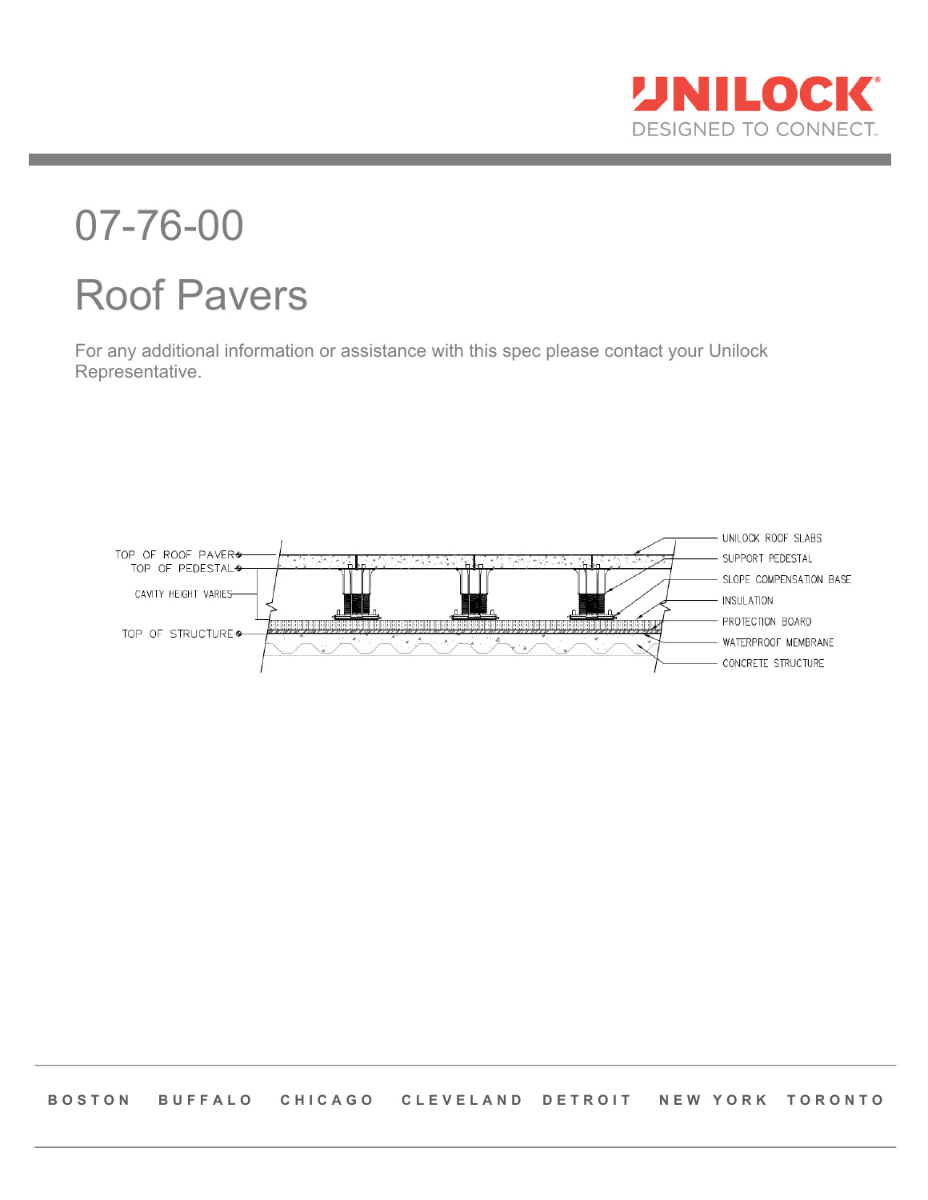

# 07-76-00 Roof Pavers

For any additional information or assistance with this spec please contact your Unilock Representative.

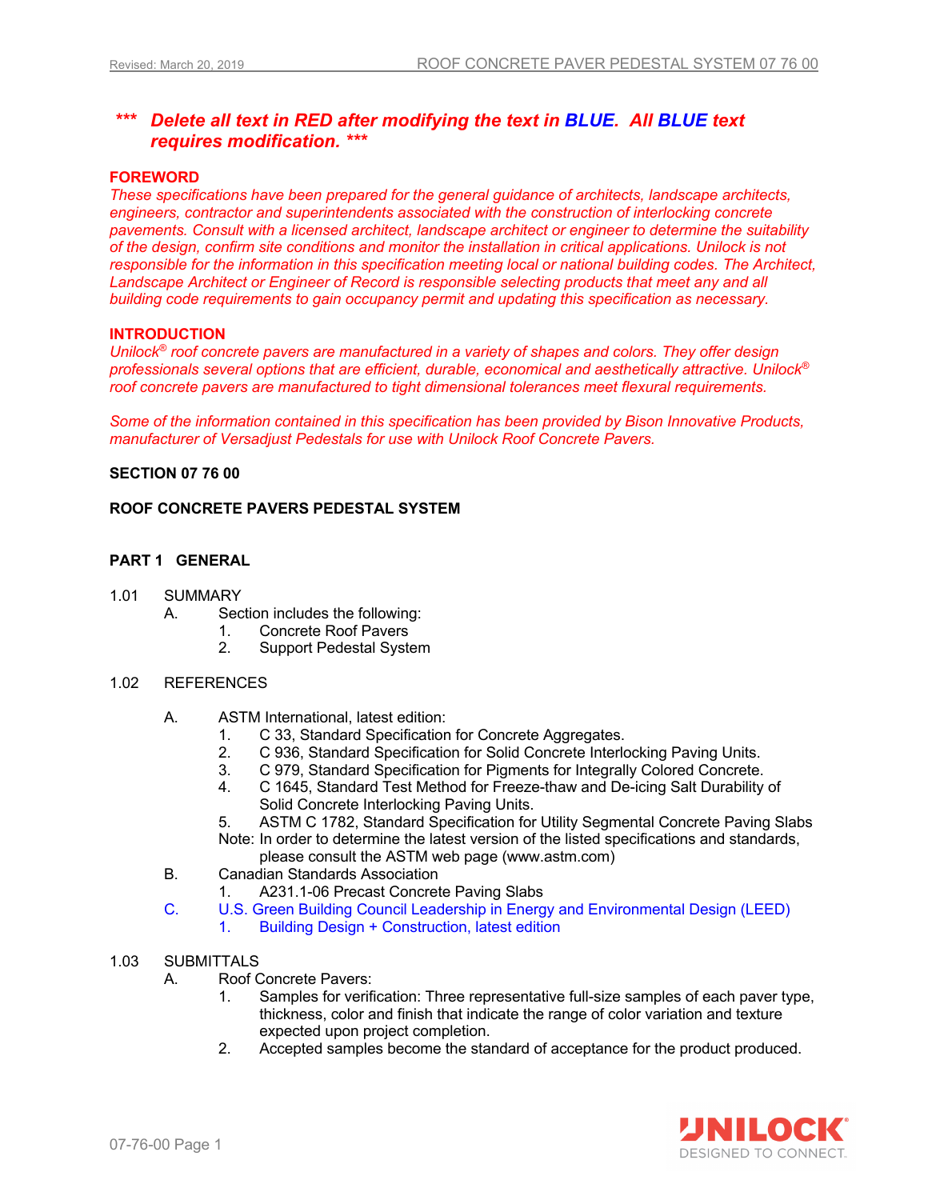# *\*\*\* Delete all text in RED after modifying the text in BLUE. All BLUE text requires modification. \*\*\**

## **FOREWORD**

*These specifications have been prepared for the general guidance of architects, landscape architects, engineers, contractor and superintendents associated with the construction of interlocking concrete pavements. Consult with a licensed architect, landscape architect or engineer to determine the suitability of the design, confirm site conditions and monitor the installation in critical applications. Unilock is not*  responsible for the information in this specification meeting local or national building codes. The Architect, Landscape Architect or Engineer of Record is responsible selecting products that meet any and all *building code requirements to gain occupancy permit and updating this specification as necessary.* 

## **INTRODUCTION**

*Unilock® roof concrete pavers are manufactured in a variety of shapes and colors. They offer design professionals several options that are efficient, durable, economical and aesthetically attractive. Unilock® roof concrete pavers are manufactured to tight dimensional tolerances meet flexural requirements.*

*Some of the information contained in this specification has been provided by Bison Innovative Products, manufacturer of Versadjust Pedestals for use with Unilock Roof Concrete Pavers.*

#### **SECTION 07 76 00**

#### **ROOF CONCRETE PAVERS PEDESTAL SYSTEM**

## **PART 1 GENERAL**

- 1.01 SUMMARY
	- A. Section includes the following:
		- 1. Concrete Roof Pavers
		- 2. Support Pedestal System

### 1.02 REFERENCES

- A. ASTM International, latest edition:
	- 1. C 33, Standard Specification for Concrete Aggregates.
	- 2. C 936, Standard Specification for Solid Concrete Interlocking Paving Units.
	- 3. C 979, Standard Specification for Pigments for Integrally Colored Concrete.
	- 4. C 1645, Standard Test Method for Freeze-thaw and De-icing Salt Durability of Solid Concrete Interlocking Paving Units.

5. ASTM C 1782, Standard Specification for Utility Segmental Concrete Paving Slabs Note: In order to determine the latest version of the listed specifications and standards, please consult the ASTM web page (www.astm.com)

- B. Canadian Standards Association
	- 1. A231.1-06 Precast Concrete Paving Slabs
- C. U.S. Green Building Council Leadership in Energy and Environmental Design (LEED)
	- 1. Building Design + Construction, latest edition
- 1.03 SUBMITTALS
	- A. Roof Concrete Pavers:
		- 1. Samples for verification: Three representative full-size samples of each paver type, thickness, color and finish that indicate the range of color variation and texture expected upon project completion.
		- 2. Accepted samples become the standard of acceptance for the product produced.

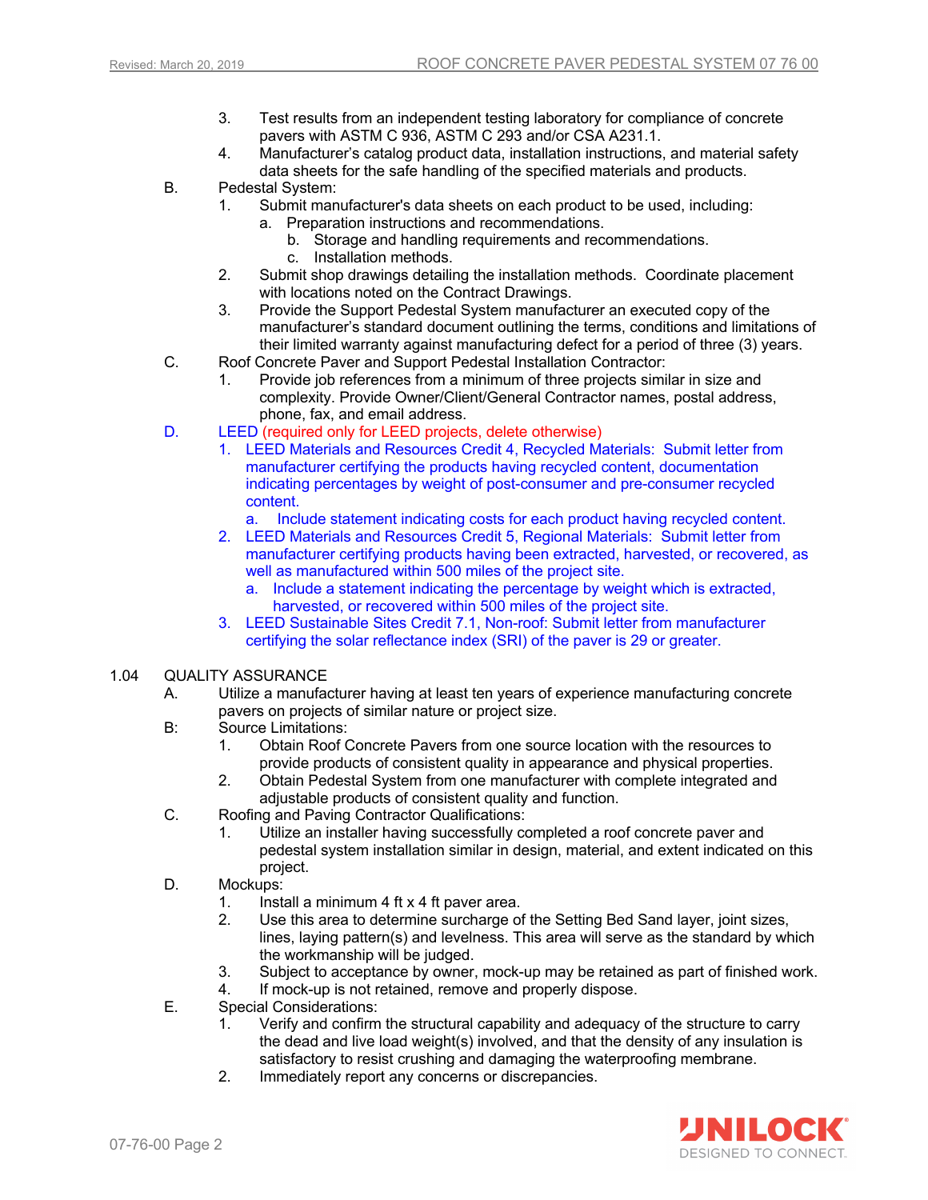- 3. Test results from an independent testing laboratory for compliance of concrete pavers with ASTM C 936, ASTM C 293 and/or CSA A231.1.
- 4. Manufacturer's catalog product data, installation instructions, and material safety data sheets for the safe handling of the specified materials and products.
- B. Pedestal System:
	- 1. Submit manufacturer's data sheets on each product to be used, including:
		- a. Preparation instructions and recommendations.
			- b. Storage and handling requirements and recommendations.
				- c. Installation methods.
	- 2. Submit shop drawings detailing the installation methods. Coordinate placement with locations noted on the Contract Drawings.
	- 3. Provide the Support Pedestal System manufacturer an executed copy of the manufacturer's standard document outlining the terms, conditions and limitations of their limited warranty against manufacturing defect for a period of three (3) years.
- C. Roof Concrete Paver and Support Pedestal Installation Contractor:
	- Provide job references from a minimum of three projects similar in size and complexity. Provide Owner/Client/General Contractor names, postal address, phone, fax, and email address.
- D. LEED (required only for LEED projects, delete otherwise)
	- 1. LEED Materials and Resources Credit 4, Recycled Materials: Submit letter from manufacturer certifying the products having recycled content, documentation indicating percentages by weight of post-consumer and pre-consumer recycled content.
		- a. Include statement indicating costs for each product having recycled content.
	- 2. LEED Materials and Resources Credit 5, Regional Materials: Submit letter from manufacturer certifying products having been extracted, harvested, or recovered, as well as manufactured within 500 miles of the project site.
		- a. Include a statement indicating the percentage by weight which is extracted, harvested, or recovered within 500 miles of the project site.
	- 3. LEED Sustainable Sites Credit 7.1, Non-roof: Submit letter from manufacturer certifying the solar reflectance index (SRI) of the paver is 29 or greater.

## 1.04 QUALITY ASSURANCE

- A. Utilize a manufacturer having at least ten years of experience manufacturing concrete pavers on projects of similar nature or project size.
- B: Source Limitations:
	- 1. Obtain Roof Concrete Pavers from one source location with the resources to provide products of consistent quality in appearance and physical properties.
	- 2. Obtain Pedestal System from one manufacturer with complete integrated and adjustable products of consistent quality and function.
- C. Roofing and Paving Contractor Qualifications:
	- 1. Utilize an installer having successfully completed a roof concrete paver and pedestal system installation similar in design, material, and extent indicated on this project.
- D. Mockups:
	- 1. Install a minimum 4 ft x 4 ft paver area.
	- 2. Use this area to determine surcharge of the Setting Bed Sand layer, joint sizes, lines, laying pattern(s) and levelness. This area will serve as the standard by which the workmanship will be judged.
	- 3. Subject to acceptance by owner, mock-up may be retained as part of finished work.
	- 4. If mock-up is not retained, remove and properly dispose.
- E. Special Considerations:
	- 1. Verify and confirm the structural capability and adequacy of the structure to carry the dead and live load weight(s) involved, and that the density of any insulation is satisfactory to resist crushing and damaging the waterproofing membrane.
	- 2. Immediately report any concerns or discrepancies.

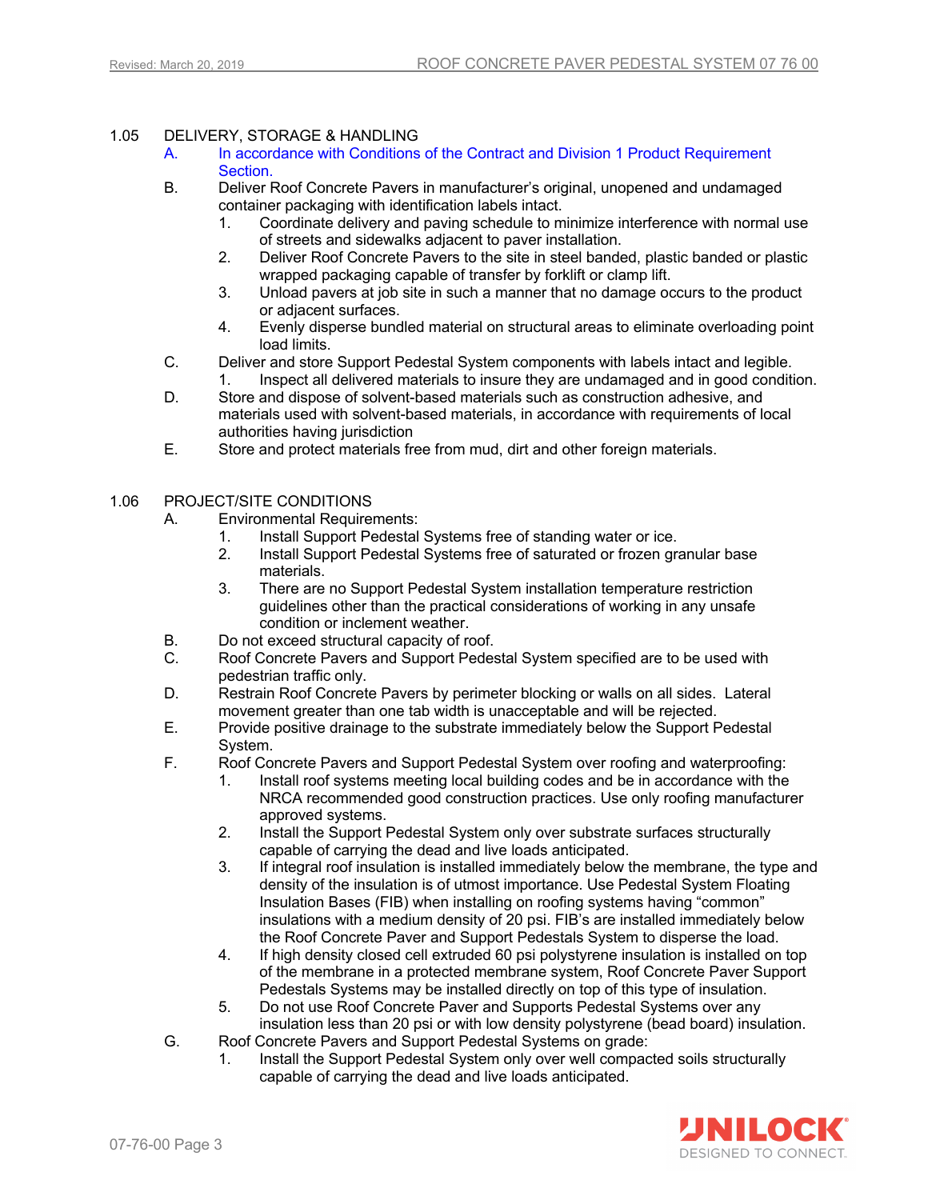## 1.05 DELIVERY, STORAGE & HANDLING

- A. In accordance with Conditions of the Contract and Division 1 Product Requirement Section.
- B. Deliver Roof Concrete Pavers in manufacturer's original, unopened and undamaged container packaging with identification labels intact.
	- 1. Coordinate delivery and paving schedule to minimize interference with normal use of streets and sidewalks adjacent to paver installation.
	- 2. Deliver Roof Concrete Pavers to the site in steel banded, plastic banded or plastic wrapped packaging capable of transfer by forklift or clamp lift.
	- 3. Unload pavers at job site in such a manner that no damage occurs to the product or adjacent surfaces.
	- 4. Evenly disperse bundled material on structural areas to eliminate overloading point load limits.
- C. Deliver and store Support Pedestal System components with labels intact and legible.
- 1. Inspect all delivered materials to insure they are undamaged and in good condition. D. Store and dispose of solvent-based materials such as construction adhesive, and
- materials used with solvent-based materials, in accordance with requirements of local authorities having jurisdiction
- E. Store and protect materials free from mud, dirt and other foreign materials.

## 1.06 PROJECT/SITE CONDITIONS

- A. Environmental Requirements:
	- 1. Install Support Pedestal Systems free of standing water or ice.
	- 2. Install Support Pedestal Systems free of saturated or frozen granular base materials.
	- 3. There are no Support Pedestal System installation temperature restriction guidelines other than the practical considerations of working in any unsafe condition or inclement weather.
- B. Do not exceed structural capacity of roof.
- C. Roof Concrete Pavers and Support Pedestal System specified are to be used with pedestrian traffic only.
- D. Restrain Roof Concrete Pavers by perimeter blocking or walls on all sides. Lateral movement greater than one tab width is unacceptable and will be rejected.
- E. Provide positive drainage to the substrate immediately below the Support Pedestal System.
- F. Roof Concrete Pavers and Support Pedestal System over roofing and waterproofing:
	- 1. Install roof systems meeting local building codes and be in accordance with the NRCA recommended good construction practices. Use only roofing manufacturer approved systems.
	- 2. Install the Support Pedestal System only over substrate surfaces structurally capable of carrying the dead and live loads anticipated.
	- 3. If integral roof insulation is installed immediately below the membrane, the type and density of the insulation is of utmost importance. Use Pedestal System Floating Insulation Bases (FIB) when installing on roofing systems having "common" insulations with a medium density of 20 psi. FIB's are installed immediately below the Roof Concrete Paver and Support Pedestals System to disperse the load.
	- 4. If high density closed cell extruded 60 psi polystyrene insulation is installed on top of the membrane in a protected membrane system, Roof Concrete Paver Support Pedestals Systems may be installed directly on top of this type of insulation.
	- 5. Do not use Roof Concrete Paver and Supports Pedestal Systems over any insulation less than 20 psi or with low density polystyrene (bead board) insulation.
- G. Roof Concrete Pavers and Support Pedestal Systems on grade:
	- 1. Install the Support Pedestal System only over well compacted soils structurally capable of carrying the dead and live loads anticipated.

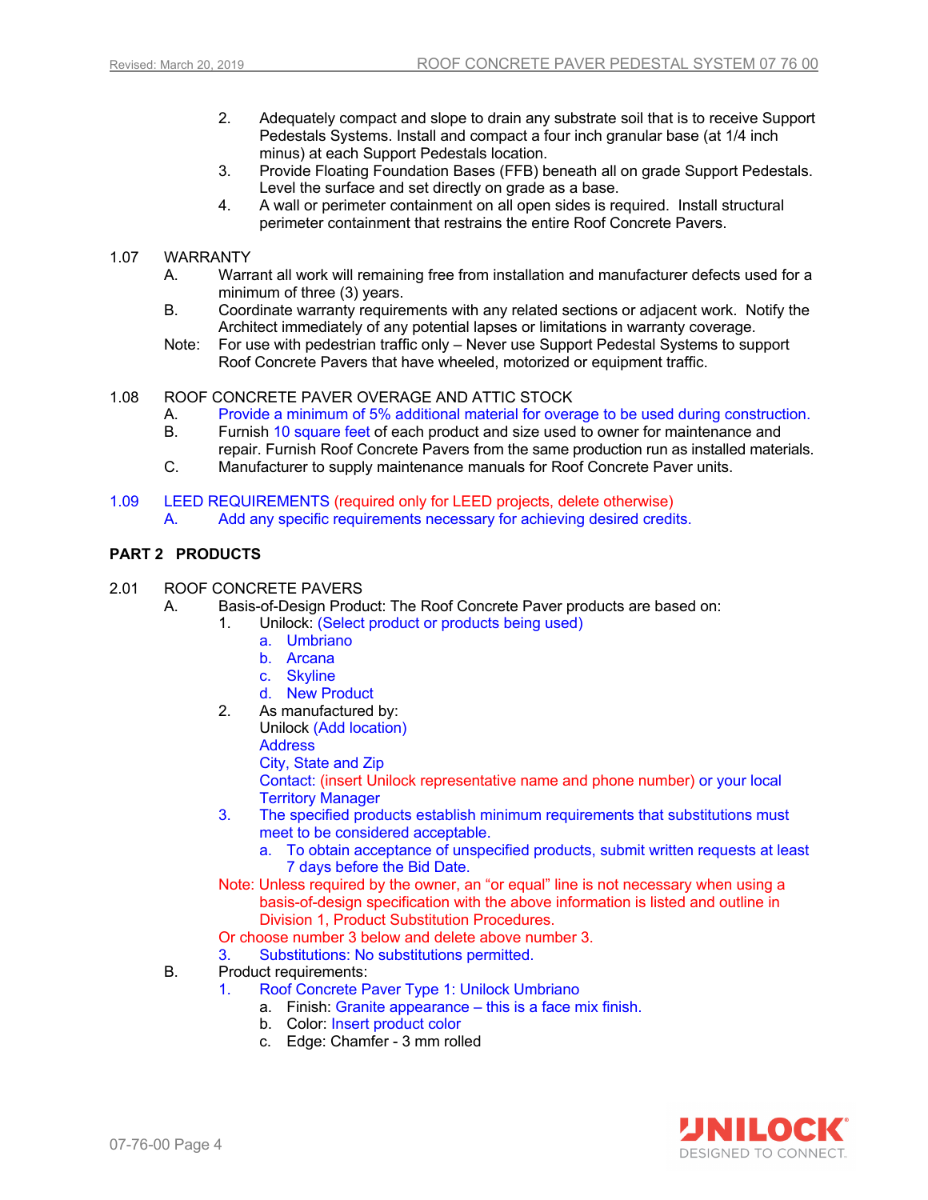- 2. Adequately compact and slope to drain any substrate soil that is to receive Support Pedestals Systems. Install and compact a four inch granular base (at 1/4 inch minus) at each Support Pedestals location.
- 3. Provide Floating Foundation Bases (FFB) beneath all on grade Support Pedestals. Level the surface and set directly on grade as a base.
- 4. A wall or perimeter containment on all open sides is required. Install structural perimeter containment that restrains the entire Roof Concrete Pavers.

#### 1.07 WARRANTY

- A. Warrant all work will remaining free from installation and manufacturer defects used for a minimum of three (3) years.
- B. Coordinate warranty requirements with any related sections or adjacent work. Notify the Architect immediately of any potential lapses or limitations in warranty coverage.
- Note: For use with pedestrian traffic only Never use Support Pedestal Systems to support Roof Concrete Pavers that have wheeled, motorized or equipment traffic.

#### 1.08 ROOF CONCRETE PAVER OVERAGE AND ATTIC STOCK

- A. Provide a minimum of 5% additional material for overage to be used during construction.
- B. Furnish 10 square feet of each product and size used to owner for maintenance and repair. Furnish Roof Concrete Pavers from the same production run as installed materials.
- C. Manufacturer to supply maintenance manuals for Roof Concrete Paver units.
- 1.09 LEED REQUIREMENTS (required only for LEED projects, delete otherwise) A. Add any specific requirements necessary for achieving desired credits.

## **PART 2 PRODUCTS**

- 2.01 ROOF CONCRETE PAVERS
	- A. Basis-of-Design Product: The Roof Concrete Paver products are based on:
		- 1. Unilock: (Select product or products being used)
			- a. Umbriano
			- b. Arcana
			- c. Skyline
			- d. New Product
		- 2. As manufactured by:
			- Unilock (Add location)

**Address** 

City, State and Zip

Contact: (insert Unilock representative name and phone number) or your local Territory Manager

- 3. The specified products establish minimum requirements that substitutions must meet to be considered acceptable.
	- a. To obtain acceptance of unspecified products, submit written requests at least 7 days before the Bid Date.
- Note: Unless required by the owner, an "or equal" line is not necessary when using a basis-of-design specification with the above information is listed and outline in Division 1, Product Substitution Procedures.

Or choose number 3 below and delete above number 3.

- 3. Substitutions: No substitutions permitted.
- B. Product requirements:
	- 1. Roof Concrete Paver Type 1: Unilock Umbriano
		- a. Finish: Granite appearance this is a face mix finish.
		- b. Color: Insert product color
		- c. Edge: Chamfer 3 mm rolled

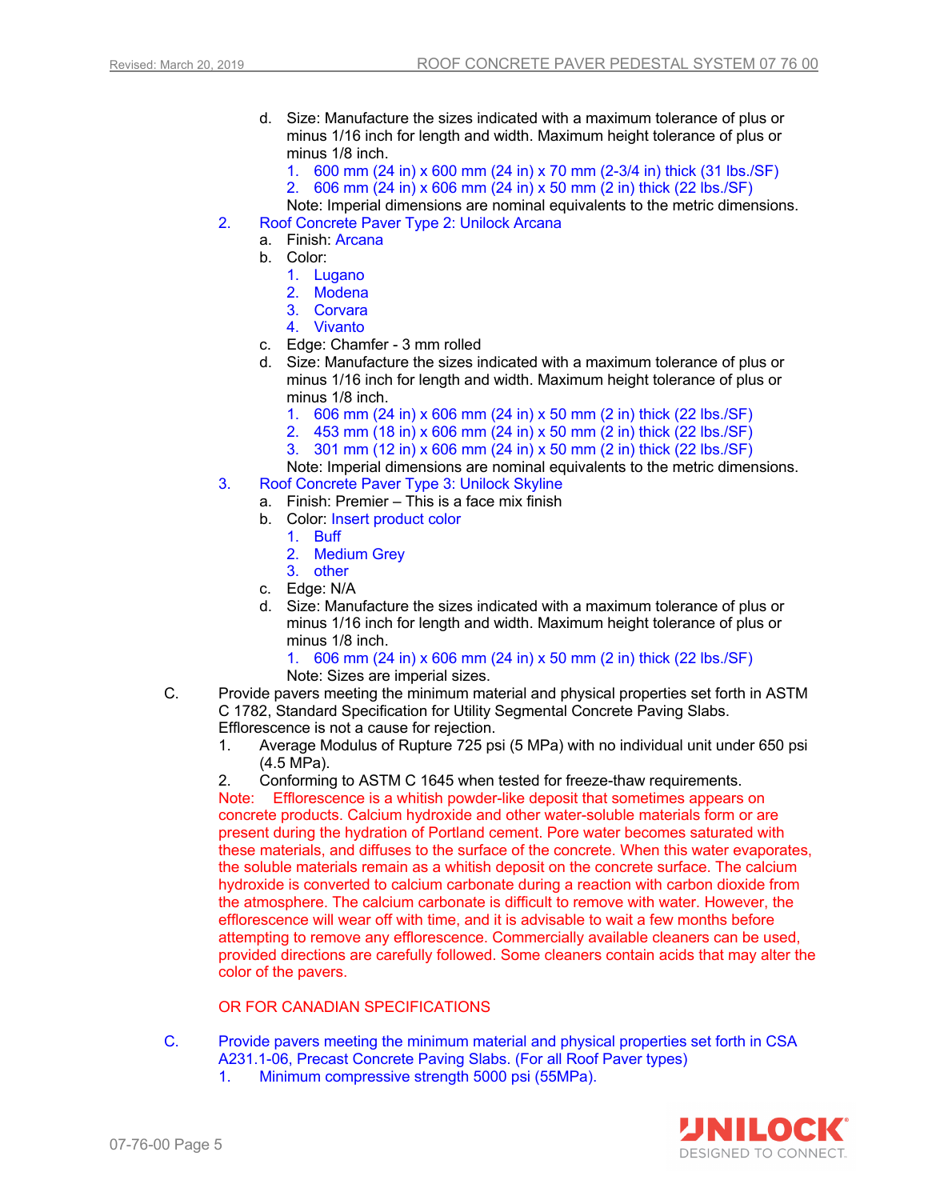- d. Size: Manufacture the sizes indicated with a maximum tolerance of plus or minus 1/16 inch for length and width. Maximum height tolerance of plus or minus 1/8 inch.
	- 1. 600 mm (24 in) x 600 mm (24 in) x 70 mm (2-3/4 in) thick (31 lbs./SF)
	- 2. 606 mm (24 in) x 606 mm (24 in) x 50 mm (2 in) thick (22 lbs./SF)
- Note: Imperial dimensions are nominal equivalents to the metric dimensions. 2. Roof Concrete Paver Type 2: Unilock Arcana
	- a. Finish: Arcana
		-
		- b. Color:
			- 1. Lugano
			- 2. Modena
			- 3. Corvara
			- 4. Vivanto
		- c. Edge: Chamfer 3 mm rolled
		- d. Size: Manufacture the sizes indicated with a maximum tolerance of plus or minus 1/16 inch for length and width. Maximum height tolerance of plus or minus 1/8 inch.
			- 1. 606 mm (24 in) x 606 mm (24 in) x 50 mm (2 in) thick (22 lbs./SF)
			- 2. 453 mm (18 in) x 606 mm (24 in) x 50 mm (2 in) thick (22 lbs./SF)
			- 3. 301 mm (12 in) x 606 mm (24 in) x 50 mm (2 in) thick (22 lbs./SF)

Note: Imperial dimensions are nominal equivalents to the metric dimensions.

- 3. Roof Concrete Paver Type 3: Unilock Skyline
	- a. Finish: Premier This is a face mix finish
	- b. Color: Insert product color
		- 1. Buff
		- 2. Medium Grey
		- 3. other
	- c. Edge: N/A
	- d. Size: Manufacture the sizes indicated with a maximum tolerance of plus or minus 1/16 inch for length and width. Maximum height tolerance of plus or minus 1/8 inch.

1. 606 mm (24 in) x 606 mm (24 in) x 50 mm (2 in) thick (22 lbs./SF) Note: Sizes are imperial sizes.

- C. Provide pavers meeting the minimum material and physical properties set forth in ASTM C 1782, Standard Specification for Utility Segmental Concrete Paving Slabs. Efflorescence is not a cause for rejection.
	- 1. Average Modulus of Rupture 725 psi (5 MPa) with no individual unit under 650 psi (4.5 MPa).
	- 2. Conforming to ASTM C 1645 when tested for freeze-thaw requirements.

Note: Efflorescence is a whitish powder-like deposit that sometimes appears on concrete products. Calcium hydroxide and other water-soluble materials form or are present during the hydration of Portland cement. Pore water becomes saturated with these materials, and diffuses to the surface of the concrete. When this water evaporates, the soluble materials remain as a whitish deposit on the concrete surface. The calcium hydroxide is converted to calcium carbonate during a reaction with carbon dioxide from the atmosphere. The calcium carbonate is difficult to remove with water. However, the efflorescence will wear off with time, and it is advisable to wait a few months before attempting to remove any efflorescence. Commercially available cleaners can be used, provided directions are carefully followed. Some cleaners contain acids that may alter the color of the pavers.

## OR FOR CANADIAN SPECIFICATIONS

- C. Provide pavers meeting the minimum material and physical properties set forth in CSA A231.1-06, Precast Concrete Paving Slabs. (For all Roof Paver types)
	- 1. Minimum compressive strength 5000 psi (55MPa).

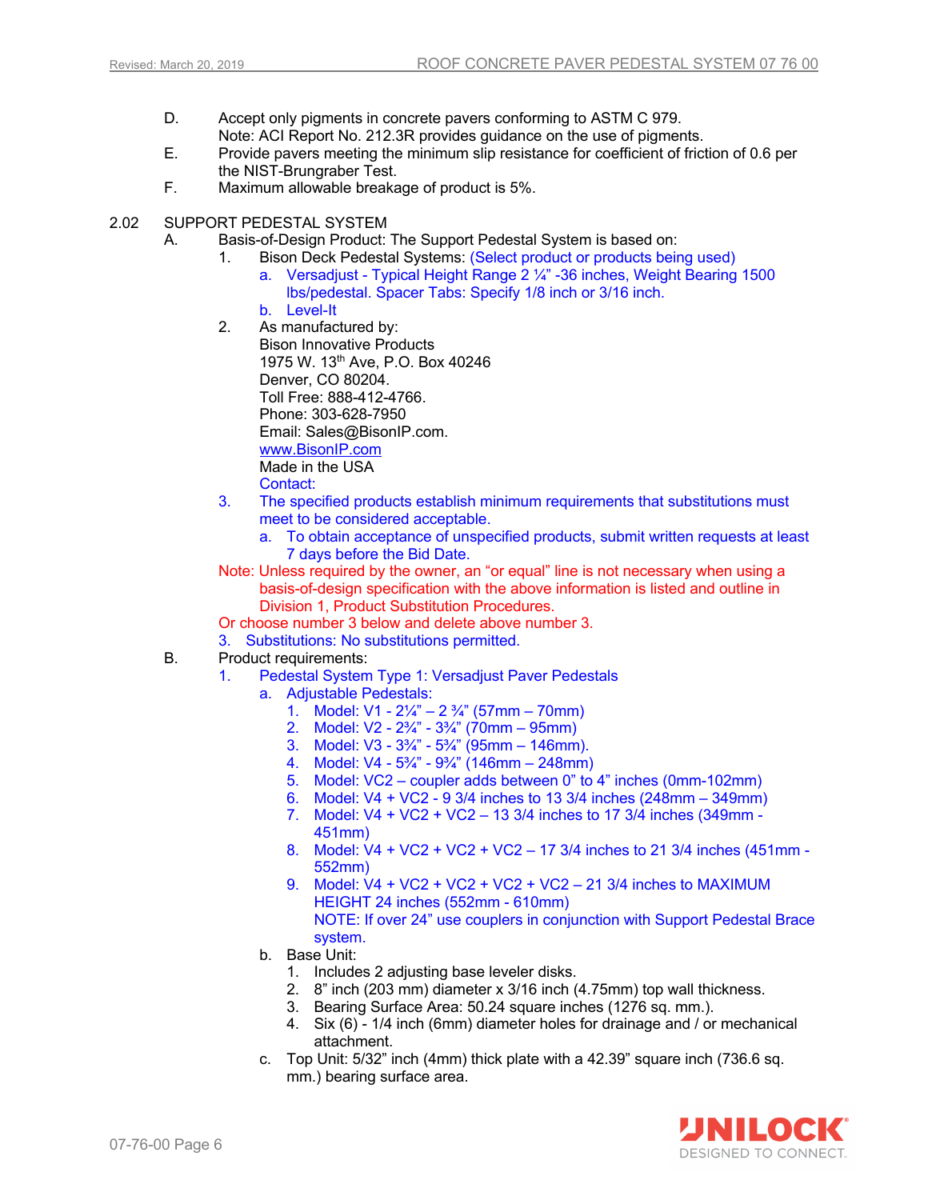- D. Accept only pigments in concrete pavers conforming to ASTM C 979. Note: ACI Report No. 212.3R provides guidance on the use of pigments.
- E. Provide pavers meeting the minimum slip resistance for coefficient of friction of 0.6 per the NIST-Brungraber Test.
- F. Maximum allowable breakage of product is 5%.
- 2.02 SUPPORT PEDESTAL SYSTEM
	- A. Basis-of-Design Product: The Support Pedestal System is based on:
		- 1. Bison Deck Pedestal Systems: (Select product or products being used) a. Versadjust - Typical Height Range 2 ¼" -36 inches, Weight Bearing 1500 lbs/pedestal. Spacer Tabs: Specify 1/8 inch or 3/16 inch.
			- b. Level-It
		- 2. As manufactured by: Bison Innovative Products 1975 W. 13<sup>th</sup> Ave, P.O. Box 40246 Denver, CO 80204. Toll Free: 888-412-4766. Phone: 303-628-7950 Email: Sales@BisonIP.com. www.BisonIP.com Made in the USA Contact:
		- 3. The specified products establish minimum requirements that substitutions must meet to be considered acceptable.
			- a. To obtain acceptance of unspecified products, submit written requests at least 7 days before the Bid Date.
		- Note: Unless required by the owner, an "or equal" line is not necessary when using a basis-of-design specification with the above information is listed and outline in Division 1, Product Substitution Procedures.
		- Or choose number 3 below and delete above number 3.
		- 3. Substitutions: No substitutions permitted.
	- B. Product requirements:
		- 1. Pedestal System Type 1: Versadjust Paver Pedestals
			- a. Adjustable Pedestals:
				- 1. Model: V1 2¼" 2 ¾" (57mm 70mm)
				- 2. Model: V2 2¾" 3¾" (70mm 95mm)
				- 3. Model: V3 3¾" 5¾" (95mm 146mm).
				- 4. Model: V4 5¾" 9¾" (146mm 248mm)
				- 5. Model: VC2 coupler adds between 0" to 4" inches (0mm-102mm)
				- 6. Model: V4 + VC2 9 3/4 inches to 13 3/4 inches (248mm 349mm)
				- 7. Model: V4 + VC2 + VC2 13 3/4 inches to 17 3/4 inches (349mm 451mm)
				- 8. Model: V4 + VC2 + VC2 + VC2 17 3/4 inches to 21 3/4 inches (451mm 552mm)
				- 9. Model: V4 + VC2 + VC2 + VC2 + VC2 21 3/4 inches to MAXIMUM HEIGHT 24 inches (552mm - 610mm) NOTE: If over 24" use couplers in conjunction with Support Pedestal Brace system.
			- b. Base Unit:
				- 1. Includes 2 adjusting base leveler disks.
				- 2. 8" inch (203 mm) diameter x 3/16 inch (4.75mm) top wall thickness.
				- 3. Bearing Surface Area: 50.24 square inches (1276 sq. mm.).
				- 4. Six (6) 1/4 inch (6mm) diameter holes for drainage and / or mechanical attachment.
			- c. Top Unit: 5/32" inch (4mm) thick plate with a 42.39" square inch (736.6 sq. mm.) bearing surface area.

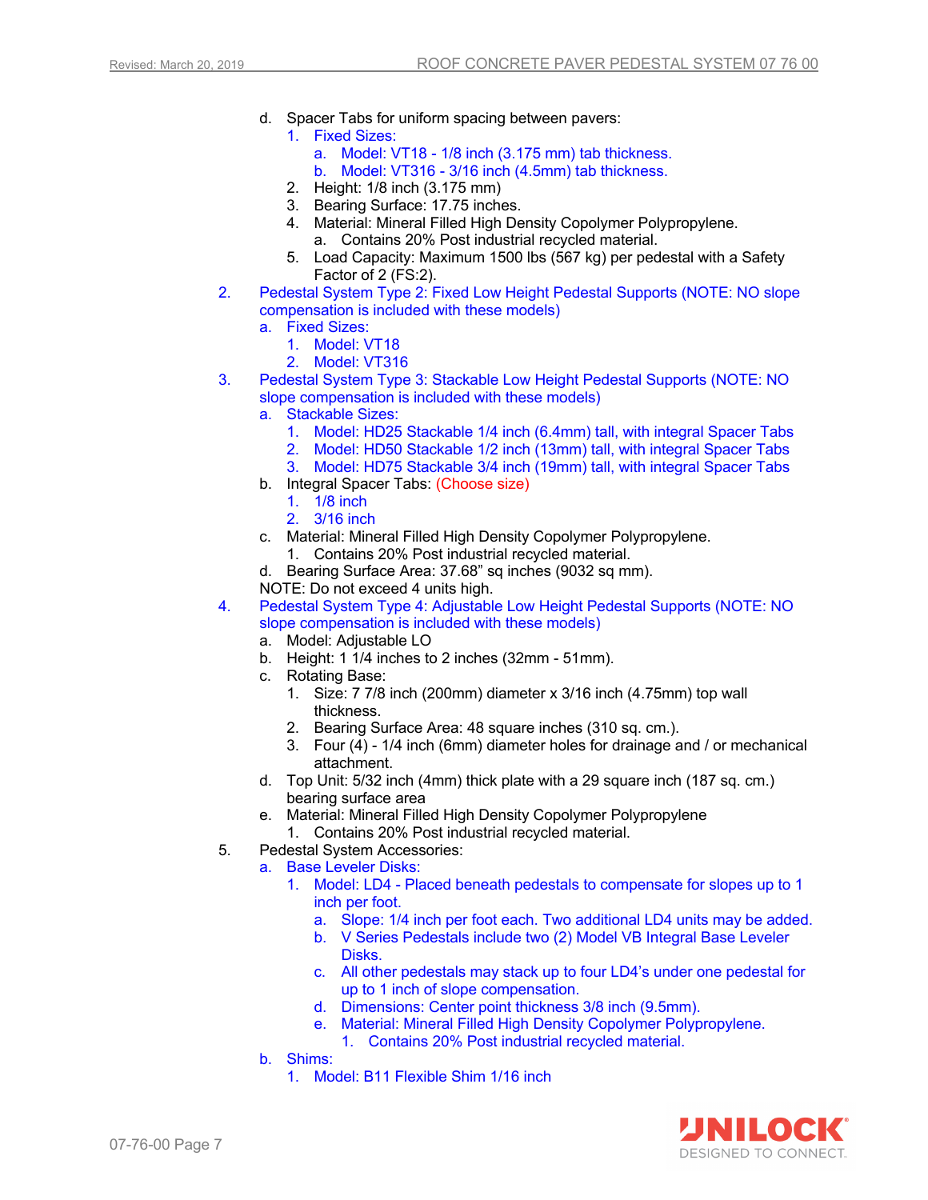- d. Spacer Tabs for uniform spacing between pavers:
	- 1. Fixed Sizes:
		- a. Model: VT18 1/8 inch (3.175 mm) tab thickness.
		- b. Model: VT316 3/16 inch (4.5mm) tab thickness.
	- 2. Height: 1/8 inch (3.175 mm)
	- 3. Bearing Surface: 17.75 inches.
	- 4. Material: Mineral Filled High Density Copolymer Polypropylene. a. Contains 20% Post industrial recycled material.
	- 5. Load Capacity: Maximum 1500 lbs (567 kg) per pedestal with a Safety Factor of 2 (FS:2).
- 2. Pedestal System Type 2: Fixed Low Height Pedestal Supports (NOTE: NO slope compensation is included with these models)
	- a. Fixed Sizes:
		- 1. Model: VT18
		- 2. Model: VT316
- 3. Pedestal System Type 3: Stackable Low Height Pedestal Supports (NOTE: NO slope compensation is included with these models)
	- a. Stackable Sizes:
		- 1. Model: HD25 Stackable 1/4 inch (6.4mm) tall, with integral Spacer Tabs
		- 2. Model: HD50 Stackable 1/2 inch (13mm) tall, with integral Spacer Tabs
		- 3. Model: HD75 Stackable 3/4 inch (19mm) tall, with integral Spacer Tabs
	- b. Integral Spacer Tabs: (Choose size)
		- 1. 1/8 inch
		- 2. 3/16 inch
	- c. Material: Mineral Filled High Density Copolymer Polypropylene.
		- 1. Contains 20% Post industrial recycled material.
	- d. Bearing Surface Area: 37.68" sq inches (9032 sq mm).
	- NOTE: Do not exceed 4 units high.
- 4. Pedestal System Type 4: Adjustable Low Height Pedestal Supports (NOTE: NO slope compensation is included with these models)
	- a. Model: Adjustable LO
	- b. Height: 1 1/4 inches to 2 inches (32mm 51mm).
	- c. Rotating Base:
		- 1. Size: 7 7/8 inch (200mm) diameter x 3/16 inch (4.75mm) top wall thickness.
		- 2. Bearing Surface Area: 48 square inches (310 sq. cm.).
		- 3. Four  $(4)$  1/4 inch (6mm) diameter holes for drainage and / or mechanical attachment.
	- d. Top Unit: 5/32 inch (4mm) thick plate with a 29 square inch (187 sq. cm.) bearing surface area
	- e. Material: Mineral Filled High Density Copolymer Polypropylene
		- 1. Contains 20% Post industrial recycled material.
- 5. Pedestal System Accessories:
	- a. Base Leveler Disks:
		- 1. Model: LD4 Placed beneath pedestals to compensate for slopes up to 1 inch per foot.
			- a. Slope: 1/4 inch per foot each. Two additional LD4 units may be added.
			- b. V Series Pedestals include two (2) Model VB Integral Base Leveler Disks.
			- c. All other pedestals may stack up to four LD4's under one pedestal for up to 1 inch of slope compensation.
			- d. Dimensions: Center point thickness 3/8 inch (9.5mm).
			- e. Material: Mineral Filled High Density Copolymer Polypropylene. 1. Contains 20% Post industrial recycled material.
	- b. Shims:
		- 1. Model: B11 Flexible Shim 1/16 inch

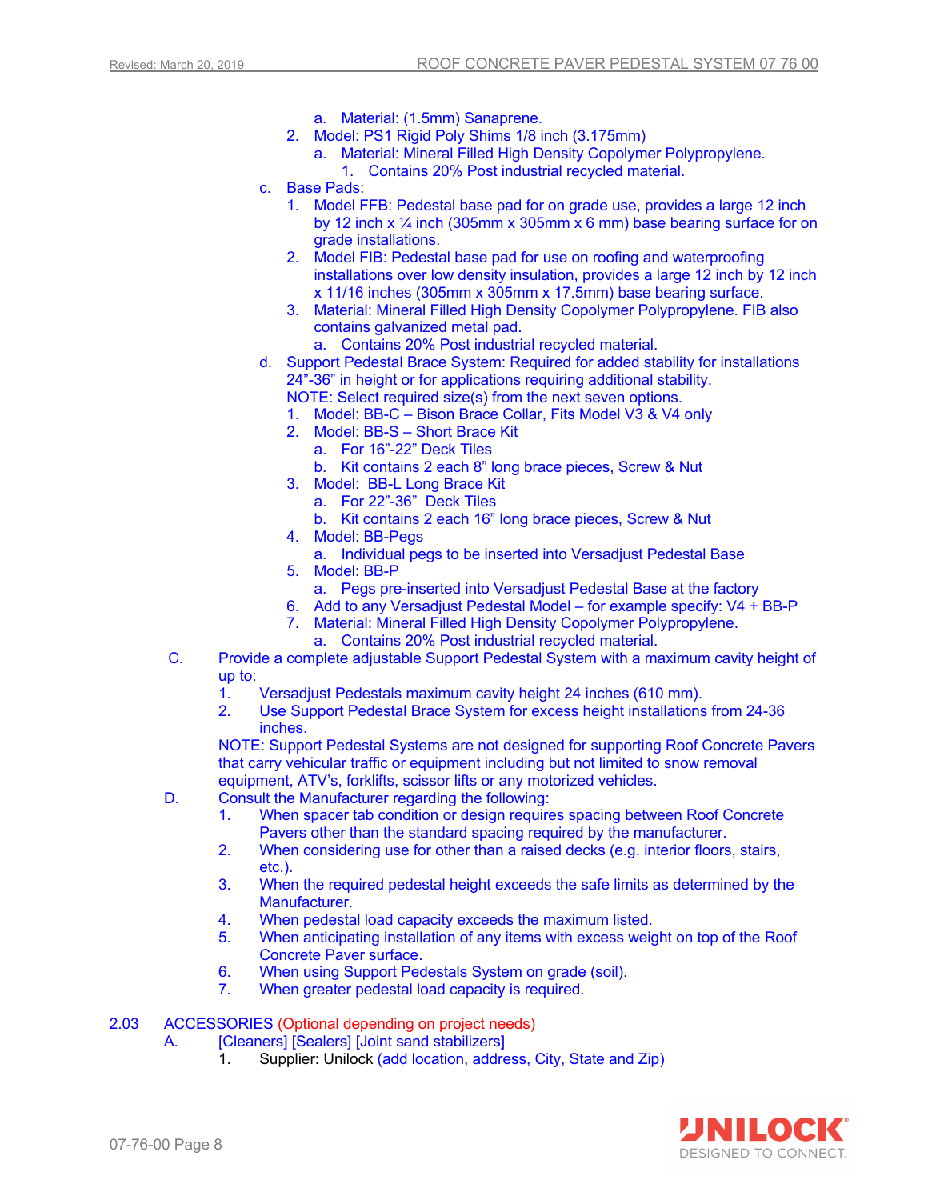- a. Material: (1.5mm) Sanaprene.
- 2. Model: PS1 Rigid Poly Shims 1/8 inch (3.175mm)
	- a. Material: Mineral Filled High Density Copolymer Polypropylene. 1. Contains 20% Post industrial recycled material.
- c. Base Pads:
	- 1. Model FFB: Pedestal base pad for on grade use, provides a large 12 inch by 12 inch x  $\frac{1}{4}$  inch (305mm x 305mm x 6 mm) base bearing surface for on grade installations.
	- 2. Model FIB: Pedestal base pad for use on roofing and waterproofing installations over low density insulation, provides a large 12 inch by 12 inch x 11/16 inches (305mm x 305mm x 17.5mm) base bearing surface.
	- 3. Material: Mineral Filled High Density Copolymer Polypropylene. FIB also contains galvanized metal pad.
		- a. Contains 20% Post industrial recycled material.
- d. Support Pedestal Brace System: Required for added stability for installations 24"-36" in height or for applications requiring additional stability.
	- NOTE: Select required size(s) from the next seven options.
	- 1. Model: BB-C Bison Brace Collar, Fits Model V3 & V4 only
	- 2. Model: BB-S Short Brace Kit
		- a. For 16"-22" Deck Tiles
		- b. Kit contains 2 each 8" long brace pieces, Screw & Nut
	- 3. Model: BB-L Long Brace Kit
		- a. For 22"-36" Deck Tiles
		- b. Kit contains 2 each 16" long brace pieces, Screw & Nut
	- 4. Model: BB-Pegs
		- a. Individual pegs to be inserted into Versadjust Pedestal Base
	- 5. Model: BB-P
		- a. Pegs pre-inserted into Versadjust Pedestal Base at the factory
	- 6. Add to any Versadjust Pedestal Model for example specify: V4 + BB-P
	- 7. Material: Mineral Filled High Density Copolymer Polypropylene.
		- a. Contains 20% Post industrial recycled material.
- C. Provide a complete adjustable Support Pedestal System with a maximum cavity height of up to:
	- 1. Versadjust Pedestals maximum cavity height 24 inches (610 mm).
	- 2. Use Support Pedestal Brace System for excess height installations from 24-36 inches.

NOTE: Support Pedestal Systems are not designed for supporting Roof Concrete Pavers that carry vehicular traffic or equipment including but not limited to snow removal equipment, ATV's, forklifts, scissor lifts or any motorized vehicles.

- D. Consult the Manufacturer regarding the following:
	- 1. When spacer tab condition or design requires spacing between Roof Concrete Pavers other than the standard spacing required by the manufacturer.
	- 2. When considering use for other than a raised decks (e.g. interior floors, stairs, etc.).
	- 3. When the required pedestal height exceeds the safe limits as determined by the Manufacturer.
	- 4. When pedestal load capacity exceeds the maximum listed.
	- 5. When anticipating installation of any items with excess weight on top of the Roof Concrete Paver surface.
	- 6. When using Support Pedestals System on grade (soil).
	- 7. When greater pedestal load capacity is required.

## 2.03 ACCESSORIES (Optional depending on project needs)

- A. **[Cleaners] [Sealers] [Joint sand stabilizers]** 
	- 1. Supplier: Unilock (add location, address, City, State and Zip)

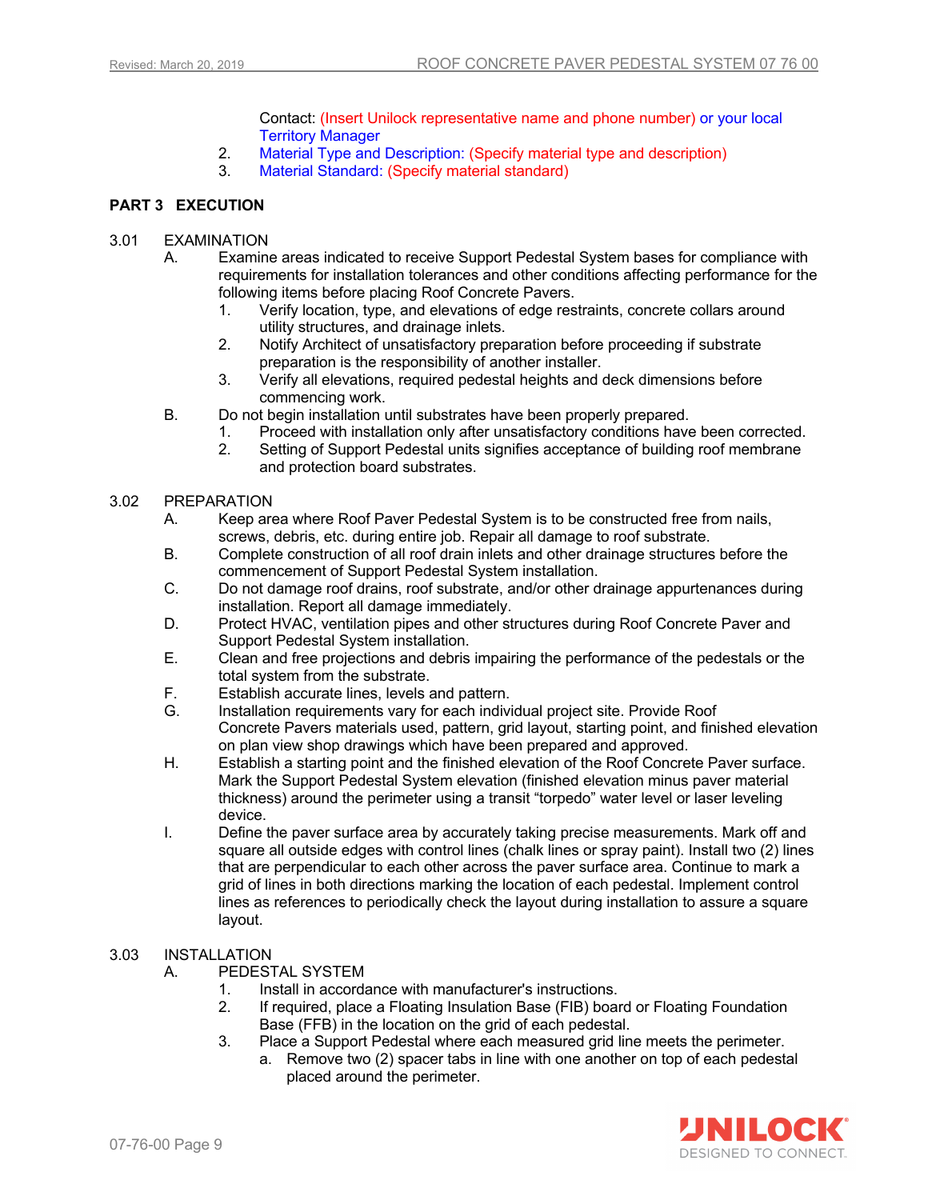Contact: (Insert Unilock representative name and phone number) or your local Territory Manager

- 2. Material Type and Description: (Specify material type and description)
- 3. Material Standard: (Specify material standard)

## **PART 3 EXECUTION**

## 3.01 EXAMINATION

- A. Examine areas indicated to receive Support Pedestal System bases for compliance with requirements for installation tolerances and other conditions affecting performance for the following items before placing Roof Concrete Pavers.
	- 1. Verify location, type, and elevations of edge restraints, concrete collars around utility structures, and drainage inlets.
	- 2. Notify Architect of unsatisfactory preparation before proceeding if substrate preparation is the responsibility of another installer.
	- 3. Verify all elevations, required pedestal heights and deck dimensions before commencing work.
- B. Do not begin installation until substrates have been properly prepared.
	- 1. Proceed with installation only after unsatisfactory conditions have been corrected.
		- 2. Setting of Support Pedestal units signifies acceptance of building roof membrane and protection board substrates.

## 3.02 PREPARATION

- A. Keep area where Roof Paver Pedestal System is to be constructed free from nails, screws, debris, etc. during entire job. Repair all damage to roof substrate.
- B. Complete construction of all roof drain inlets and other drainage structures before the commencement of Support Pedestal System installation.
- C. Do not damage roof drains, roof substrate, and/or other drainage appurtenances during installation. Report all damage immediately.
- D. Protect HVAC, ventilation pipes and other structures during Roof Concrete Paver and Support Pedestal System installation.
- E. Clean and free projections and debris impairing the performance of the pedestals or the total system from the substrate.
- F. Establish accurate lines, levels and pattern.
- G. Installation requirements vary for each individual project site. Provide Roof Concrete Pavers materials used, pattern, grid layout, starting point, and finished elevation on plan view shop drawings which have been prepared and approved.
- H. Establish a starting point and the finished elevation of the Roof Concrete Paver surface. Mark the Support Pedestal System elevation (finished elevation minus paver material thickness) around the perimeter using a transit "torpedo" water level or laser leveling device.
- I. Define the paver surface area by accurately taking precise measurements. Mark off and square all outside edges with control lines (chalk lines or spray paint). Install two (2) lines that are perpendicular to each other across the paver surface area. Continue to mark a grid of lines in both directions marking the location of each pedestal. Implement control lines as references to periodically check the layout during installation to assure a square layout.

## 3.03 INSTALLATION

A. PEDESTAL SYSTEM

- 1. Install in accordance with manufacturer's instructions.
- 2. If required, place a Floating Insulation Base (FIB) board or Floating Foundation Base (FFB) in the location on the grid of each pedestal.
- 3. Place a Support Pedestal where each measured grid line meets the perimeter.
	- a. Remove two (2) spacer tabs in line with one another on top of each pedestal placed around the perimeter.

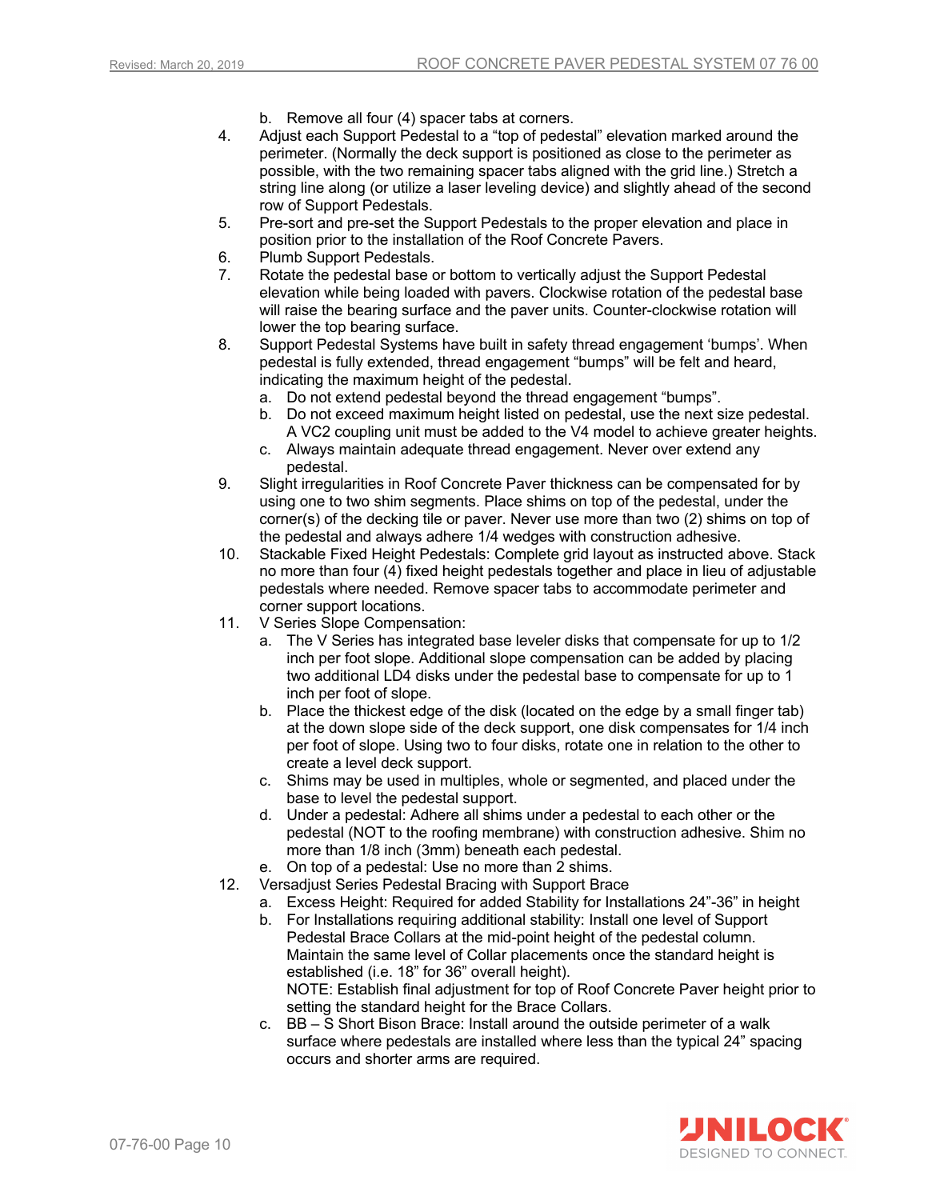- b. Remove all four (4) spacer tabs at corners.
- 4. Adjust each Support Pedestal to a "top of pedestal" elevation marked around the perimeter. (Normally the deck support is positioned as close to the perimeter as possible, with the two remaining spacer tabs aligned with the grid line.) Stretch a string line along (or utilize a laser leveling device) and slightly ahead of the second row of Support Pedestals.
- 5. Pre-sort and pre-set the Support Pedestals to the proper elevation and place in position prior to the installation of the Roof Concrete Pavers.
- 6. Plumb Support Pedestals.
- 7. Rotate the pedestal base or bottom to vertically adjust the Support Pedestal elevation while being loaded with pavers. Clockwise rotation of the pedestal base will raise the bearing surface and the paver units. Counter-clockwise rotation will lower the top bearing surface.
- 8. Support Pedestal Systems have built in safety thread engagement 'bumps'. When pedestal is fully extended, thread engagement "bumps" will be felt and heard, indicating the maximum height of the pedestal.
	- a. Do not extend pedestal beyond the thread engagement "bumps".
	- b. Do not exceed maximum height listed on pedestal, use the next size pedestal. A VC2 coupling unit must be added to the V4 model to achieve greater heights.
	- c. Always maintain adequate thread engagement. Never over extend any pedestal.
- 9. Slight irregularities in Roof Concrete Paver thickness can be compensated for by using one to two shim segments. Place shims on top of the pedestal, under the corner(s) of the decking tile or paver. Never use more than two (2) shims on top of the pedestal and always adhere 1/4 wedges with construction adhesive.
- 10. Stackable Fixed Height Pedestals: Complete grid layout as instructed above. Stack no more than four (4) fixed height pedestals together and place in lieu of adjustable pedestals where needed. Remove spacer tabs to accommodate perimeter and corner support locations.
- 11. V Series Slope Compensation:
	- a. The V Series has integrated base leveler disks that compensate for up to 1/2 inch per foot slope. Additional slope compensation can be added by placing two additional LD4 disks under the pedestal base to compensate for up to 1 inch per foot of slope.
	- b. Place the thickest edge of the disk (located on the edge by a small finger tab) at the down slope side of the deck support, one disk compensates for 1/4 inch per foot of slope. Using two to four disks, rotate one in relation to the other to create a level deck support.
	- c. Shims may be used in multiples, whole or segmented, and placed under the base to level the pedestal support.
	- d. Under a pedestal: Adhere all shims under a pedestal to each other or the pedestal (NOT to the roofing membrane) with construction adhesive. Shim no more than 1/8 inch (3mm) beneath each pedestal.
	- e. On top of a pedestal: Use no more than 2 shims.
- 12. Versadjust Series Pedestal Bracing with Support Brace
	- a. Excess Height: Required for added Stability for Installations 24"-36" in height
	- b. For Installations requiring additional stability: Install one level of Support Pedestal Brace Collars at the mid-point height of the pedestal column. Maintain the same level of Collar placements once the standard height is established (i.e. 18" for 36" overall height). NOTE: Establish final adjustment for top of Roof Concrete Paver height prior to setting the standard height for the Brace Collars.
	- c. BB S Short Bison Brace: Install around the outside perimeter of a walk surface where pedestals are installed where less than the typical 24" spacing occurs and shorter arms are required.

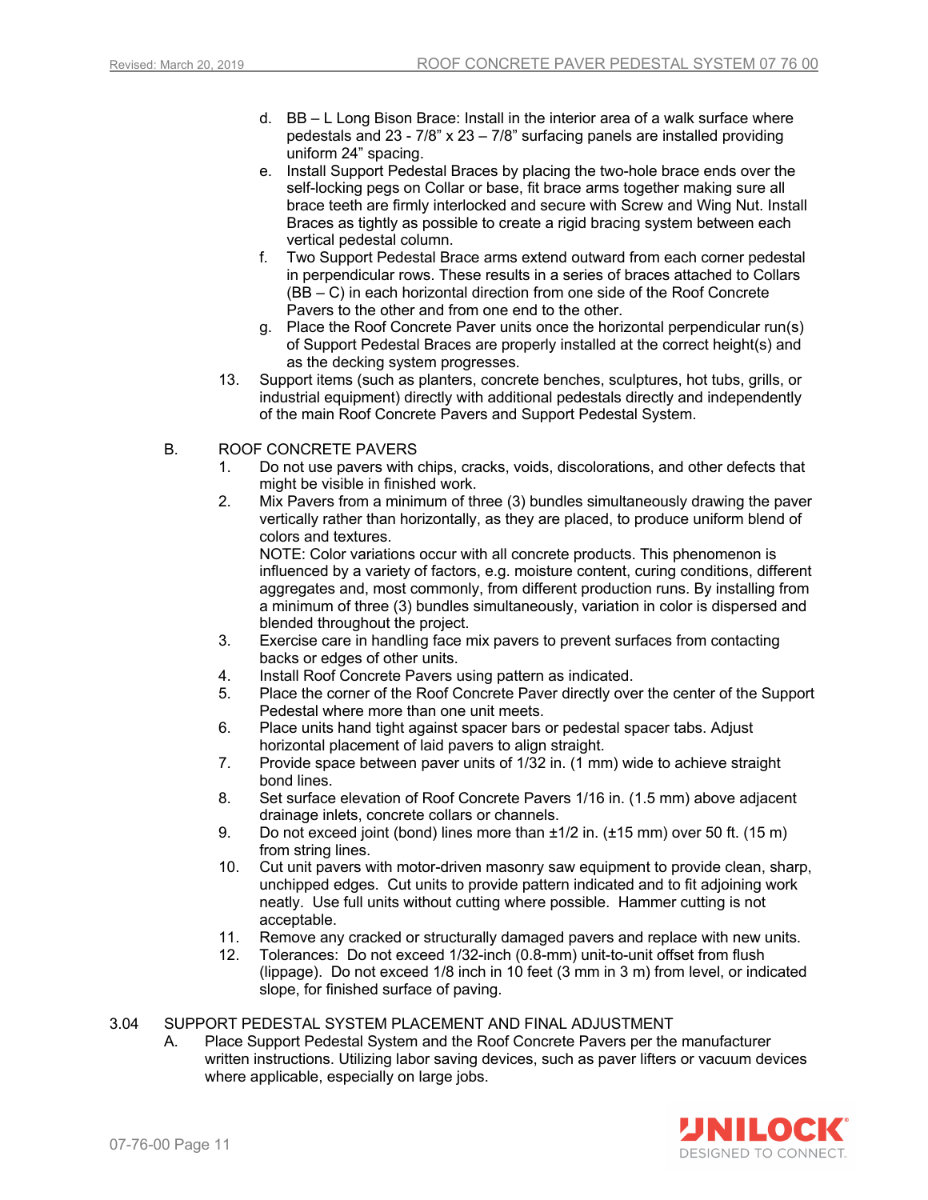- d. BB L Long Bison Brace: Install in the interior area of a walk surface where pedestals and 23 - 7/8" x 23 – 7/8" surfacing panels are installed providing uniform 24" spacing.
- e. Install Support Pedestal Braces by placing the two-hole brace ends over the self-locking pegs on Collar or base, fit brace arms together making sure all brace teeth are firmly interlocked and secure with Screw and Wing Nut. Install Braces as tightly as possible to create a rigid bracing system between each vertical pedestal column.
- f. Two Support Pedestal Brace arms extend outward from each corner pedestal in perpendicular rows. These results in a series of braces attached to Collars (BB – C) in each horizontal direction from one side of the Roof Concrete Pavers to the other and from one end to the other.
- g. Place the Roof Concrete Paver units once the horizontal perpendicular run(s) of Support Pedestal Braces are properly installed at the correct height(s) and as the decking system progresses.
- 13. Support items (such as planters, concrete benches, sculptures, hot tubs, grills, or industrial equipment) directly with additional pedestals directly and independently of the main Roof Concrete Pavers and Support Pedestal System.

## B. ROOF CONCRETE PAVERS

- 1. Do not use pavers with chips, cracks, voids, discolorations, and other defects that might be visible in finished work.
- 2. Mix Pavers from a minimum of three (3) bundles simultaneously drawing the paver vertically rather than horizontally, as they are placed, to produce uniform blend of colors and textures.

NOTE: Color variations occur with all concrete products. This phenomenon is influenced by a variety of factors, e.g. moisture content, curing conditions, different aggregates and, most commonly, from different production runs. By installing from a minimum of three (3) bundles simultaneously, variation in color is dispersed and blended throughout the project.

- 3. Exercise care in handling face mix pavers to prevent surfaces from contacting backs or edges of other units.
- 4. Install Roof Concrete Pavers using pattern as indicated.
- 5. Place the corner of the Roof Concrete Paver directly over the center of the Support Pedestal where more than one unit meets.
- 6. Place units hand tight against spacer bars or pedestal spacer tabs. Adjust horizontal placement of laid pavers to align straight.
- 7. Provide space between paver units of 1/32 in. (1 mm) wide to achieve straight bond lines.
- 8. Set surface elevation of Roof Concrete Pavers 1/16 in. (1.5 mm) above adjacent drainage inlets, concrete collars or channels.
- 9. Do not exceed joint (bond) lines more than ±1/2 in. (±15 mm) over 50 ft. (15 m) from string lines.
- 10. Cut unit pavers with motor-driven masonry saw equipment to provide clean, sharp, unchipped edges. Cut units to provide pattern indicated and to fit adjoining work neatly. Use full units without cutting where possible. Hammer cutting is not acceptable.
- 11. Remove any cracked or structurally damaged pavers and replace with new units.
- 12. Tolerances: Do not exceed 1/32-inch (0.8-mm) unit-to-unit offset from flush (lippage). Do not exceed 1/8 inch in 10 feet (3 mm in 3 m) from level, or indicated slope, for finished surface of paving.

## 3.04 SUPPORT PEDESTAL SYSTEM PLACEMENT AND FINAL ADJUSTMENT

A. Place Support Pedestal System and the Roof Concrete Pavers per the manufacturer written instructions. Utilizing labor saving devices, such as paver lifters or vacuum devices where applicable, especially on large jobs.

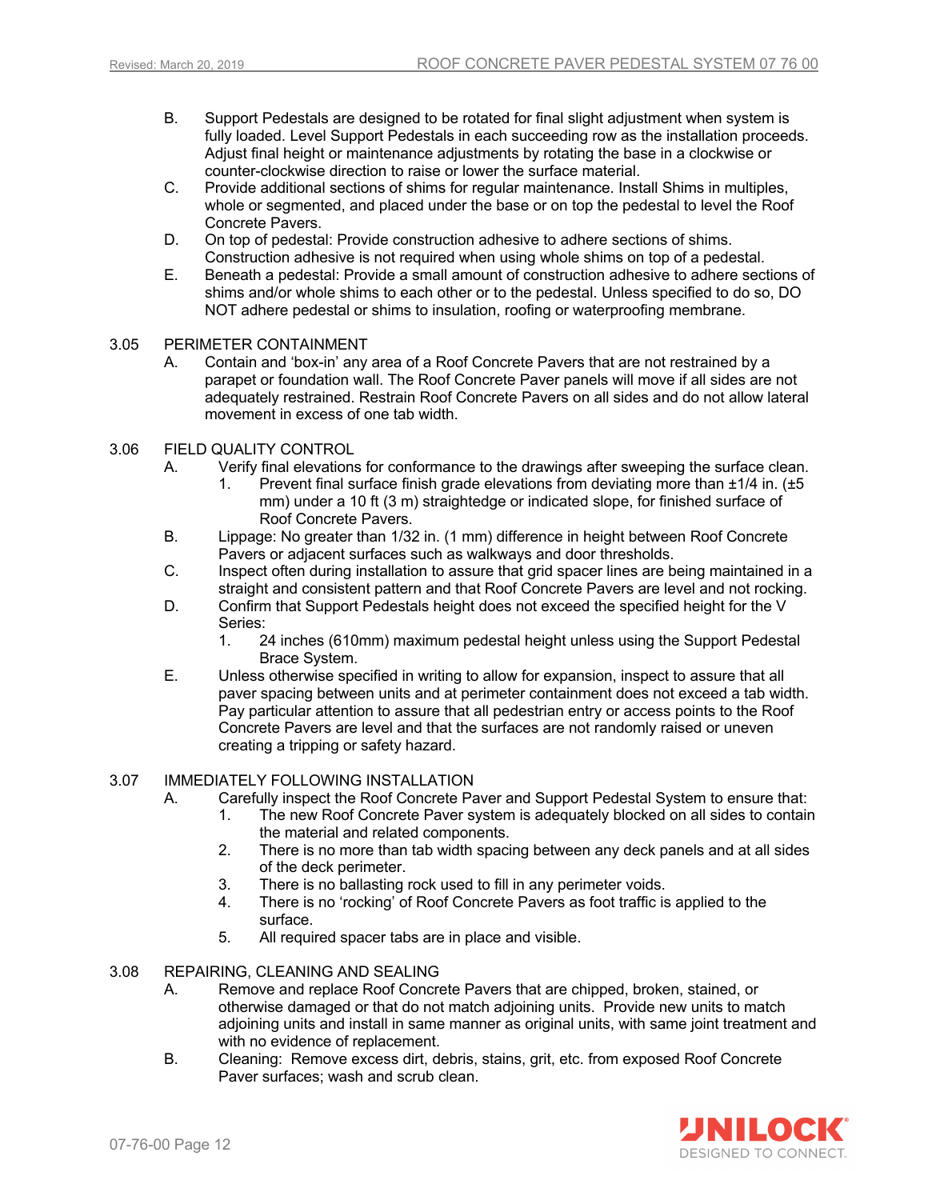- B. Support Pedestals are designed to be rotated for final slight adjustment when system is fully loaded. Level Support Pedestals in each succeeding row as the installation proceeds. Adjust final height or maintenance adjustments by rotating the base in a clockwise or counter-clockwise direction to raise or lower the surface material.
- C. Provide additional sections of shims for regular maintenance. Install Shims in multiples, whole or segmented, and placed under the base or on top the pedestal to level the Roof Concrete Pavers.
- D. On top of pedestal: Provide construction adhesive to adhere sections of shims. Construction adhesive is not required when using whole shims on top of a pedestal.
- E. Beneath a pedestal: Provide a small amount of construction adhesive to adhere sections of shims and/or whole shims to each other or to the pedestal. Unless specified to do so, DO NOT adhere pedestal or shims to insulation, roofing or waterproofing membrane.

## 3.05 PERIMETER CONTAINMENT

A. Contain and 'box-in' any area of a Roof Concrete Pavers that are not restrained by a parapet or foundation wall. The Roof Concrete Paver panels will move if all sides are not adequately restrained. Restrain Roof Concrete Pavers on all sides and do not allow lateral movement in excess of one tab width.

## 3.06 FIELD QUALITY CONTROL

- A. Verify final elevations for conformance to the drawings after sweeping the surface clean.
	- 1. Prevent final surface finish grade elevations from deviating more than ±1/4 in. (±5 mm) under a 10 ft (3 m) straightedge or indicated slope, for finished surface of Roof Concrete Pavers.
- B. Lippage: No greater than 1/32 in. (1 mm) difference in height between Roof Concrete Pavers or adjacent surfaces such as walkways and door thresholds.
- C. Inspect often during installation to assure that grid spacer lines are being maintained in a straight and consistent pattern and that Roof Concrete Pavers are level and not rocking.
- D. Confirm that Support Pedestals height does not exceed the specified height for the V Series:
	- 1. 24 inches (610mm) maximum pedestal height unless using the Support Pedestal Brace System.
- E. Unless otherwise specified in writing to allow for expansion, inspect to assure that all paver spacing between units and at perimeter containment does not exceed a tab width. Pay particular attention to assure that all pedestrian entry or access points to the Roof Concrete Pavers are level and that the surfaces are not randomly raised or uneven creating a tripping or safety hazard.

## 3.07 IMMEDIATELY FOLLOWING INSTALLATION

- A. Carefully inspect the Roof Concrete Paver and Support Pedestal System to ensure that:
	- 1. The new Roof Concrete Paver system is adequately blocked on all sides to contain the material and related components.
	- 2. There is no more than tab width spacing between any deck panels and at all sides of the deck perimeter.
	- 3. There is no ballasting rock used to fill in any perimeter voids.
	- 4. There is no 'rocking' of Roof Concrete Pavers as foot traffic is applied to the surface.
	- 5. All required spacer tabs are in place and visible.
- 3.08 REPAIRING, CLEANING AND SEALING
	- A. Remove and replace Roof Concrete Pavers that are chipped, broken, stained, or otherwise damaged or that do not match adjoining units. Provide new units to match adjoining units and install in same manner as original units, with same joint treatment and with no evidence of replacement.
	- B. Cleaning: Remove excess dirt, debris, stains, grit, etc. from exposed Roof Concrete Paver surfaces; wash and scrub clean.